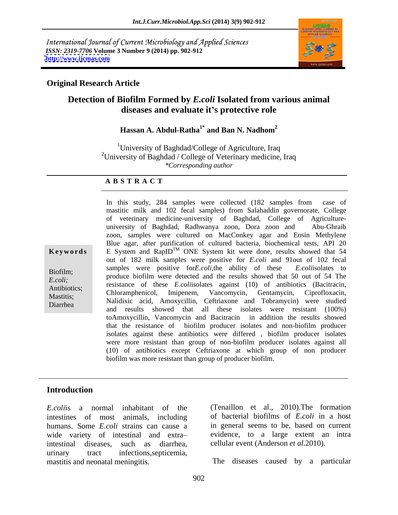International Journal of Current Microbiology and Applied Sciences *ISSN: 2319-7706* **Volume 3 Number 9 (2014) pp. 902-912 <http://www.ijcmas.com>**



# **Original Research Article**

# **Detection of Biofilm Formed by** *E.coli* **Isolated from various animal diseases and evaluate it s protective role**

#### **Hassan A. Abdul-Ratha1\* and Ban N. Nadhom<sup>2</sup>**

<sup>1</sup>University of Baghdad/College of Agriculture, Iraq <sup>2</sup>University of Baghdad / College of Veterinary medicine, Iraq *\*Corresponding author*

#### **A B S T R A C T**

**Keywords** E System and RapID<sup>TM</sup> ONE System kit were done, results showed that 54 Biofilm; samples were positive for *E. Col*, the ability of these *E. Collisorates* to produce biofilm were detected and the results showed that 50 out of 54 The *E.coli;* produce bioring were detected and the results showed that 50 out of 54 rue execution.<br>
Antibiotics; resistance of these *E.coli*isolates against (10) of antibiotics (Bacitracin, Mastitis; Nalidixic acid, Amoxycillin, Ceftriaxone and Tobramycin) were studied Diarrhea **and results** showed that all these isolates were resistant (100%) In this study, 284 samples were collected (182 samples from case of mastitic milk and 102 fecal samples) from Salahaddin governorate, College of veterinary medicine-university of Baghdad, College of Agriculture university of Baghdad, Radhwanya zoon, Dora zoon and Abu-Ghraib zoon, samples were cultured on MacConkey agar and Eosin Methylene Blue agar, after purification of cultured bacteria, biochemical tests, API 20 out of 182 milk samples were positive for *E.coli* and 91out of 102 fecal samples were positive for*E.coli,*the ability of these *E.coli*isolates to Chloramphenicol, Imipenem, Vancomycin, Gentamycin, Ciprofloxacin, toAmoxycillin, Vancomycin and Bacitracin in addition the results showed that the resistance of biofilm producer isolates and non-biofilm producer isolates against these antibiotics were differed , biofilm producer isolates were more resistant than group of non-biofilm producer isolates against all (10) of antibiotics except Ceftriaxone at which group of non producer biofilm was more resistant than group of producer biofilm.

# **Introduction**

*E.coli*is a normal inhabitant of the intestines of most animals, including humans. Some *E.coli* strains can cause a wide variety of intestinal and extra intestinal diseases, such as diarrhea, cellular event (Anderson *et al*.2010). urinary tract infections,septicemia, mastitis and neonatal meningitis. The diseases caused by a particular

(Tenaillon et al., 2010).The formation of bacterial biofilms of *E.coli* in a host in general seems to be, based on current evidence, to a large extent an intra

The diseases caused by <sup>a</sup> particular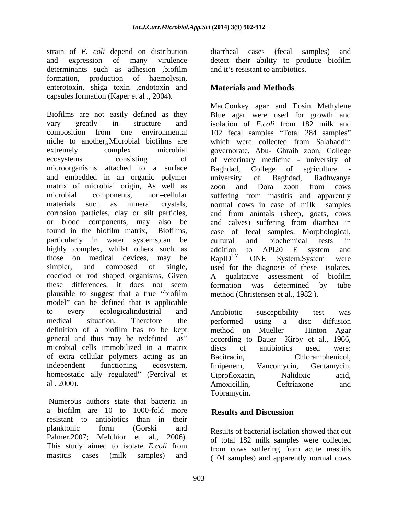strain of *E. coli* depend on distribution and expression of many virulence detect their ability to produce biofilm determinants such as adhesion ,biofilm and it's resistant to antibiotics. formation, production of haemolysin, enterotoxin, shiga toxin , endotoxin and **Materials and Methods** capsules formation (Kaper et al ., 2004).

Biofilms are not easily defined as they Blue agar were used for growth and vary greatly in structure and isolation of *E.coli* from 182 milk and composition from one environmental 102 fecal samples "Total 284 samples" niche to another,,Microbial biofilms are which were collected from Salahaddin extremely complex microbial governorate, Abu- Ghraib zoon, College ecosystems consisting of of veterinary medicine - university of microorganisms attached to a surface Baghdad, College of agriculture and embedded in an organic polymer matrix of microbial origin, As well as zoon and Dora zoon from cows microbial components, non-cellular suffering from mastitis and apparently materials such as mineral crystals, normal cows in case of milk samples corrosion particles, clay or silt particles, and from animals (sheep, goats, cows or blood components, may also be and calves) suffering from diarrhea in found in the biofilm matrix, Biofilms, case of fecal samples. Morphological, particularly in water systems,can be cultural and biochemical tests in highly complex, whilst others such as addition to API20 E system and those on medical devices, may be  $\text{RapID}^{TM}$  ONE System. System were simpler, and composed of single, used for the diagnosis of these isolates, cocciod or rod shaped organisms, Given A qualitative assessment of biofilm these differences, it does not seem formation was determined by tube plausible to suggest that a true "biofilm" model" can be defined that is applicable to every ecologicalindustrial and medical situation, Therefore the performed using a disc diffusion definition of a biofilm has to be kept method on Mueller - Hinton Agar general and thus may be redefined as" according to Bauer -Kirby et al., 1966, microbial cells immobilized in a matrix discs of antibiotics used were: of extra cellular polymers acting as an independent functioning ecosystem, Imipenem, Vancomycin, Gentamycin, homeostatic ally regulated" (Percival et Ciprofloxacin, Nalidixic acid,

Numerous authors state that bacteria in a biofilm are 10 to 1000-fold more **Results and Discussion** resistant to antibiotics than in their planktonic form (Gorski and Results of bacterial isolation showed that out Palmer,2007; Melchior et al., 2006). This study aimed to isolate *E.coli* from

diarrheal cases (fecal samples) and and it's resistant to antibiotics.

# **Materials and Methods**

MacConkey agar and Eosin Methylene Baghdad, College of agriculture university of Baghdad, Radhwanya zoon and Dora zoon from cows cultural and biochemical tests in addition to API20 E system and  $\mathsf{RapID}^{\mathsf{TM}}$  ONE System. System were A qualitative assessment of biofilm formation was determined by tube method (Christensen et al., 1982 ).

al 2000). Amoxicillin, Ceftriaxone and Antibiotic susceptibility test was performed using a disc diffusion method on Mueller – Hinton Agar according to Bauer –Kirby et al., 1966,<br>discs of antibiotics used were: Chloramphenicol, Imipenem, Vancomycin, Gentamycin, Ciprofloxacin, Nalidixic acid, Amoxicillin, Ceftriaxone and Tobramycin.

# **Results and Discussion**

mastitis cases (milk samples) and (104 samples) and apparently normal cowsResults of bacterial isolation showed that out of total 182 milk samples were collected from cows suffering from acute mastitis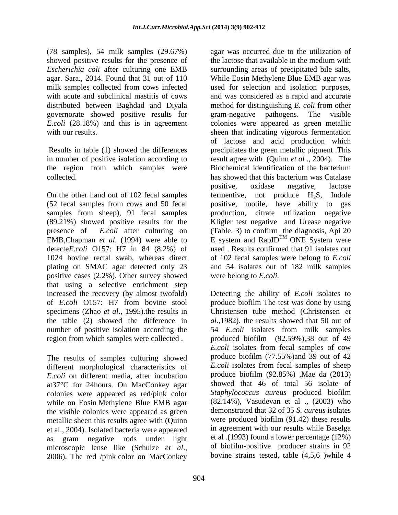(78 samples), 54 milk samples (29.67%) showed positive results for the presence of governorate showed positive results for

the region from which samples were Biochemical identification of the bacterium collected. Collected. Collected. Collected. Collected. Collected. Collected. Collected. Collected. Collected. Collected. Collected. Collected. Collected. Collected. Collected. Collected. Collected. Collected. Collected. Co

On the other hand out of 102 fecal samples fermentive, not produce  $H_2S$ , Indole samples from sheep), 91 fecal samples production, detecte*E.coli* O157: H7 in 84 (8.2%) of 1024 bovine rectal swab, whereas direct positive cases (2.2%). Other survey showed were belong to *E.coli.* that using a selective enrichment step the table (2) showed the difference in

The results of samples culturing showed different morphological characteristics of *E.coli* on different media, after incubation at37°C for 24hours. On MacConkey agar colonies were appeared as red/pink color while on Eosin Methylene Blue EMB agar the visible colonies were appeared as green metallic sheen this results agree with (Quinn et al., 2004). Isolated bacteria were appeared microscopic lense like (Schulze *et al.*, of biofilm-positive producer strains in 92<br>2006). The red /pink color on MacConkey bovine strains tested, table (4,5,6 )while 4

*Escherichia coli* after culturing one EMB surrounding areas of precipitated bile salts, agar. Sara., 2014. Found that 31 out of 110 While Eosin Methylene Blue EMB agar was milk samples collected from cows infected used for selection and isolation purposes, with acute and subclinical mastitis of cows and was considered as a rapid and accurate distributed between Baghdad and Diyala method for distinguishing *E. coli* from other *E.coli* (28.18%) and this is in agreement colonies were appeared as green metallic with our results. The sheen that indicating vigorous fermentation Results in table (1) showed the differences precipitates the green metallic pigment .This in number of positive isolation according to result agree with (Quinn *et al* ., 2004). The (52 fecal samples from cows and 50 fecal positive, motile, have ability to gas (89.21%) showed positive results for the Kligler test negative and Urease negative presence of *E.coli* after culturing on (Table. 3) to confirm the diagnosis, Api 20 EMB, Chapman *et al.* (1994) were able to E system and RapID<sup>IM</sup> ONE System were plating on SMAC agar detected only 23 and 54 isolates out of 182 milk samples agar was occurred due to the utilization of the lactose that available in the medium with gram-negative pathogens. The visible of lactose and acid production which Biochemical identification of the bacterium has showed that this bacterium was Catalase positive, oxidase negative, lactose fermentive, not produce  $H_2S$ , Indole citrate utilization negative TM ONE System were used . Results confirmed that 91 isolates out of 102 fecal samples were belong to *E.coli* were belong to *E.coli.*

increased the recovery (by almost twofold) Detecting the ability of *E.coli* isolates to of *E.coli* O157: H7 from bovine stool produce biofilm The test was done by using specimens (Zhao *et al*., 1995).the results in Christensen tube method (Christensen *et*  number of positive isolation according the 54 *E.coli* isolates from milk samples region from which samples were collected . produced biofilm (92.59%),38 out of 49 as gram negative rods under light et al. (1993) found a lower percentage (12%) *al*.,1982). the results showed that 50 out of *E.coli* isolates from fecal samples of cow produce biofilm (77.55%)and 39 out of 42 *E.coli* isolates from fecal samples of sheep produce biofilm (92.85%) ,Mae da (2013) showed that 46 of total 56 isolate of *Staphylococcus aureus* produced biofilm (82.14%), Vasudevan et al ., (2003) who demonstrated that 32 of 35 *S. aureus* isolates were produced biofilm (91.42) these results in agreement with our results while Baselga et al .(1993) found a lower percentage (12%) of biofilm-positive producer strains in 92 bovine strains tested, table (4,5,6 )while 4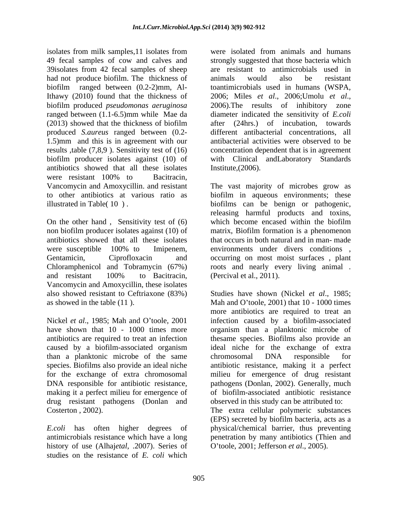isolates from milk samples,11 isolates from 49 fecal samples of cow and calves and strongly suggested that those bacteria which 39isolates from 42 fecal samples of sheep had not produce biofilm. The thickness of animals would also be resistant biofilm ranged between (0.2-2)mm, Al-toantimicrobials used in humans (WSPA, Ithawy (2010) found that the thickness of 2006; Miles et al., 2006; Umolu et al., biofilm produced *pseudomonas aeruginosa* ranged between (1.1-6.5)mm while Mae da diameter indicated the sensitivity of *E.coli* (2013) showed that the thickness of biofilm after (24hrs.) of incubation, towards produced *S.aureus* ranged between (0.2- 1.5)mm and this is in agreement with our results ,table (7,8,9 ). Sensitivity test of (16) biofilm producer isolates against (10) of with Clinical andLaboratory Standards antibiotics showed that all these isolates were resistant 100% to Bacitracin,

On the other hand, Sensitivity test of (6) which become encased within the biofilm and resistant 100% to Bacitracin, (Percival et al., 2011).<br>Vancomycin and Amoxycillin, these isolates

caused by a biofilm-associated organism than a planktonic microbe of the same drug resistant pathogens (Donlan and

history of use (Alhaj*etal*, .2007). Series of studies on the resistance of *E. coli* which

were isolated from animals and humans are resistant to antimicrobials used in animals would also be resistant 2006; Miles *et al*., 2006;Umolu *et al*., 2006).The results of inhibitory zone after (24hrs.) of incubation, towards different antibacterial concentrations, all antibacterial activities were observed to be concentration dependent that is in agreement Institute,(2006).

Vancomycin and Amoxycillin. and resistant The vast majority of microbes grow as to other antibiotics at various ratio as biofilm in aqueous environments; these illustrated in Table( 10 ) . biofilms can be benign or pathogenic, non biofilm producer isolates against (10) of matrix, Biofilm formation is a phenomenon antibiotics showed that all these isolates that occurs in both natural and in man- made were susceptible 100% to Imipenem, environments under divers conditions, Gentamicin, Ciprofloxacin and occurring on most moist surfaces , plant Chloramphenicol and Tobramycin (67%) roots and nearly every living animal . releasing harmful products and toxins, which become encased within the biofilm environments under divers conditions , (Percival et al., 2011).

also showed resistant to Ceftriaxone (83%) Studieshave shown (Nickel *et al*., 1985; as showed in the table (11). Mah and O'toole, 2001) that 10 - 1000 times Nickel *et al.*, 1985; Mah and O'toole, 2001 infection caused by a biofilm-associated have shown that 10 - 1000 times more organism than a planktonic microbe of antibiotics are required to treat an infection thesame species. Biofilms also provide an species. Biofilms also provide an ideal niche antibiotic resistance, making it a perfect for the exchange of extra chromosomal milieu for emergence of drug resistant DNA responsible for antibiotic resistance, pathogens (Donlan, 2002). Generally, much making it a perfect milieu for emergence of of biofilm-associated antibiotic resistance Costerton , 2002). The extra cellular polymeric substances *E.coli* has often higher degrees of physical/chemical barrier, thus preventing antimicrobials resistance which have a long penetration by many antibiotics (Thien and more antibiotics are required to treat an ideal niche for the exchange of extra chromosomal DNA responsible for observed in this study can be attributed to: (EPS) secreted by biofilm bacteria, acts as a O toole, 2001; Jefferson *et al*., 2005).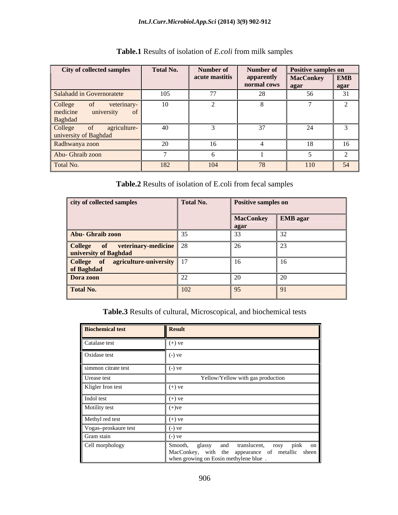| City of collected samples                 | Total No. | Number of      | Number of                            | <b>Positive samples on</b> |            |
|-------------------------------------------|-----------|----------------|--------------------------------------|----------------------------|------------|
|                                           |           | acute mastitis | apparently                           | <b>MacConkey</b>           | <b>EMB</b> |
|                                           |           |                | normal cows agar                     |                            | agar       |
| Salahadd in Governoratete                 | 105       |                | $\angle C$                           | 56                         | 31         |
| College<br>veterinary-                    |           |                |                                      |                            |            |
| medicine<br>university                    |           |                |                                      |                            |            |
| <b>Baghdad</b>                            |           |                |                                      |                            |            |
| College<br>agriculture-<br>0 <sup>t</sup> | 40        |                | 37                                   | ∠⊣                         |            |
| university of Baghdad                     |           |                |                                      |                            |            |
| Radhwanya zoon                            | $\sim$    |                |                                      |                            | -16        |
| Abu- Ghraib zoon                          |           |                |                                      |                            |            |
| Total No.                                 | 182       | 104            | $\pi$ <sup><math>\alpha</math></sup> | 110                        | 54         |

**Table.1** Results of isolation of *E.coli* from milk samples

**Table.2** Results of isolation of E.coli from fecal samples

| city of collected samples                                  | Total No.       | Positive samples on        |  |
|------------------------------------------------------------|-----------------|----------------------------|--|
|                                                            |                 | MacConkey EMB agar<br>agar |  |
| Abu- Ghraib zoon                                           |                 |                            |  |
| College of veterinary-medicine 28<br>university of Baghdad |                 |                            |  |
| College of agriculture-university 17<br>of Baghdad         |                 |                            |  |
| Dora zoon                                                  |                 |                            |  |
| <b>Total No.</b>                                           | 10 <sup>2</sup> |                            |  |

**Table.3** Results of cultural, Microscopical, and biochemical tests

| <b>Biochemical test</b> | <b>Result</b>                                                                                                                          |
|-------------------------|----------------------------------------------------------------------------------------------------------------------------------------|
| Catalase test           | $(+)$ ve                                                                                                                               |
| Oxidase test            | $(-)$ ve                                                                                                                               |
| simmon citrate test     | $(-)$ ve                                                                                                                               |
| Urease test             | Yellow/Yellow with gas production                                                                                                      |
| Kligler Iron test       | $(+)$ ve                                                                                                                               |
| Indol test              | $(+)$ ve                                                                                                                               |
| Motility test           | $(+)$ ve                                                                                                                               |
| Methyl red test         | $(+)$ ve                                                                                                                               |
| Vogas-proskaure test    | $(-)$ ve                                                                                                                               |
| Gram stain              | $(-)$ ve                                                                                                                               |
| Cell morphology         | Smooth, glassy and translucent, rosy pink on MacConkey, with the appearance of metallic sheen<br>when growing on Eosin methylene blue. |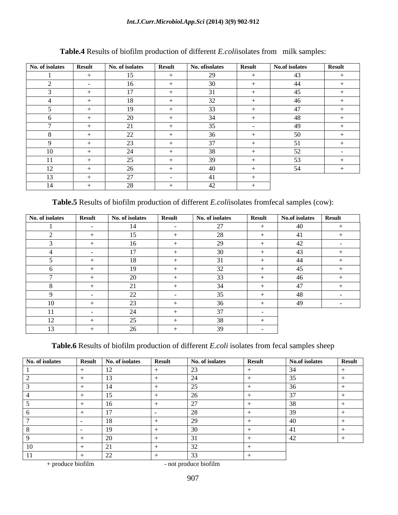#### *Int.J.Curr.Microbiol.App.Sci* **(2014) 3(9) 902-912**

| No. of isolates Result |                      | No. of isolates           | <b>Result</b> | No. ofisolates              | <b>Result</b>                              | No.of isolates           | Result         |
|------------------------|----------------------|---------------------------|---------------|-----------------------------|--------------------------------------------|--------------------------|----------------|
|                        |                      | 15                        |               | $\mathbf{a}$<br><b>LY</b>   |                                            | 43                       |                |
|                        | <b>Service</b> State | $\sim$ 1 $\sim$<br>$10-1$ |               | 30                          |                                            | 44                       |                |
|                        |                      |                           |               |                             |                                            |                          |                |
|                        |                      | 18                        |               | 32 <sub>1</sub>             |                                            | $\overline{A}$           | $+$            |
|                        |                      | $10^{-7}$<br>$\Box$       |               | $\sim$<br>55                |                                            |                          |                |
|                        | $+$                  | 20                        |               | $\bigcap$ $\bigcap$<br>- 34 |                                            | $\overline{40}$<br>48.   | $+$            |
|                        | $+$                  | $^{\sim}$ 1<br>$\angle 1$ |               | $\sim$ $\sim$<br>JJ.        |                                            | $\Lambda$ $\Omega$<br>゚゚ |                |
|                        |                      | 22                        |               | $\sim$                      |                                            | $50 -$                   |                |
|                        |                      | 23                        |               | $\sim$                      |                                            | $\epsilon$ 1<br>◡▴       | $\sim$         |
| 10                     |                      | 24                        |               | $\sim$                      |                                            | $\sim$                   | <b>Service</b> |
| $\perp$                |                      | 25                        |               |                             |                                            | JJ.                      |                |
| 12                     |                      | 26                        |               | $\sqrt{2}$                  |                                            | 54                       |                |
| 13                     |                      | 27                        |               | $A$ 1<br>$+1$               | <b>Contract Contract Contract Contract</b> |                          |                |
| 14                     |                      | $\gamma$ <sup>o</sup>     |               | $\sqrt{2}$                  |                                            |                          |                |

# **Table.4** Results of biofilm production of different *E.coli*isolates from milk samples:

**Table.5** Results of biofilm production of different *E.coli*isolates fromfecal samples (cow):

| No. of isolates | <b>Result</b>                     | No. of isolates | Result                   | No. of isolates | <b>Result</b> | No.of isolates Result |                                   |
|-----------------|-----------------------------------|-----------------|--------------------------|-----------------|---------------|-----------------------|-----------------------------------|
|                 |                                   | 14              | <b>Contract Contract</b> | 27              |               | 40                    | $+$ $-$                           |
|                 |                                   | 15              | $+$ $-$                  | 28              |               | A1                    | $+$                               |
|                 |                                   | 16              | $+$                      | 29              |               | 42                    | <b>Contract Contract</b>          |
|                 |                                   | 17              |                          | 30              |               | 43                    |                                   |
|                 |                                   | 18              |                          |                 |               | 44                    | $+$                               |
|                 |                                   | 19              | $+$                      | $J\mathcal{L}$  |               | 45                    |                                   |
|                 |                                   | 20              |                          | $\sim$          |               | 46                    |                                   |
|                 |                                   | $\sim$ $\sim$   |                          |                 |               | $\overline{a}$<br>41  |                                   |
|                 |                                   | 22              | <b>Contract Contract</b> | 35              |               | 48                    | <b>Service Contracts</b>          |
| 10              |                                   | $2^{\circ}$     |                          | $\sim$<br>Kh    |               | 49                    | <b>Contract Contract Contract</b> |
| 11              | <b>Contract Contract Contract</b> | 24              |                          | $\sim$          | $\sim$ $-$    |                       |                                   |
| 12              |                                   | 25<br>رے        |                          | 38              |               |                       |                                   |
| 13              |                                   | $\gamma$<br>ZU  |                          | 39              | $\sim$ $-$    |                       |                                   |

**Table.6** Results of biofilm production of different *E.coli* isolates from fecal samples sheep

| No. of isolates Result No. of isolates Result |                     | No. of isolates | <b>Result</b> | No.of isolates | <b>Result</b> |
|-----------------------------------------------|---------------------|-----------------|---------------|----------------|---------------|
|                                               | $\sim$              | $\sim$          |               | $\sim$ $\sim$  |               |
|                                               |                     |                 |               |                |               |
|                                               |                     | $ -$            |               |                |               |
|                                               |                     |                 |               | $\sim$ $\sim$  |               |
|                                               |                     | $\sim$ $-$      |               |                |               |
|                                               | $\sim$              | $\sim$          |               | $\sim$         |               |
|                                               |                     |                 |               |                |               |
|                                               | $1^{\circ}$         | $\sim$          |               |                |               |
|                                               |                     |                 |               |                |               |
|                                               |                     | $\sim$ $\sim$   |               |                |               |
|                                               | $\sim$ $\sim$<br>44 | $\sim$          |               |                |               |

+ produce biofilm - not produce biofilm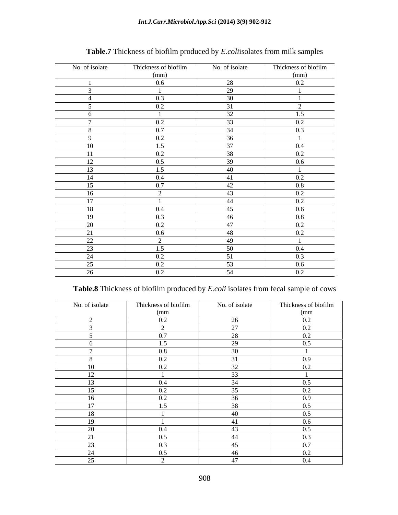| No. of isolate | Thickness of biofilm | No. of isolate | Thickness of biofilm |
|----------------|----------------------|----------------|----------------------|
|                | (mm)                 |                | (mm)                 |
|                | $0.6\,$              | 28             | 0.2                  |
|                |                      | 29             |                      |
|                | 0.3                  | 30             |                      |
|                | 0.2                  | 31             | $\gamma$             |
|                |                      | 32             | 1.5                  |
|                | 0.2                  | 33             | 0.2                  |
|                | 0.7                  | 34             | 0.3                  |
| $\Omega$       | 0.2                  | 36             |                      |
| 10             | 1.5                  | 37             | $\overline{0.4}$     |
| 11             | 0.2                  | 38             | 0.2                  |
| 12             | 0.5                  | 39             | 0.6                  |
| 13             | 1.5                  | 40             |                      |
| 14             | 0.4                  | 41             | 0.2                  |
| 15             | 0.7                  | 42             | $0.8\,$              |
| 16             | $\gamma$             | 43             | 0.2                  |
| 17             |                      | 44             | 0.2                  |
| 18             | 0.4                  | 45             | 0.6                  |
| 19             | 0.3                  | 46             | 0.8                  |
| 20             | 0.2                  | 47             | 0.2                  |
| 21             | $0.6\,$              | 48             | 0.2                  |
| 22             | $\gamma$             | 49             |                      |
| 23             | 1.5                  | 50             | 0.4                  |
| 24             | 0.2                  | 51             | 0.3                  |
| 25             | 0.2                  | 53             | $0.6\,$              |
| 26             | $0.2\,$              | 54             | 0.2                  |
|                |                      |                |                      |

# **Table.7** Thickness of biofilm produced by *E.coli*isolates from milk samples

### **Table.8** Thickness of biofilm produced by *E.coli* isolates from fecal sample of cows

| No. of isolate | Thickness of biofilm | No. of isolate  | Thickness of biofilm      |
|----------------|----------------------|-----------------|---------------------------|
|                | (mm)                 |                 | $\frac{\text{(mm)}}{0.2}$ |
|                | $0.2\,$              | 26              |                           |
|                |                      | 27              | 0.2                       |
|                | 0.7                  | 28              | 0.2                       |
|                | 1.5                  | 29              | $0.5\,$                   |
|                | $0.8\,$              | 30              |                           |
|                | 0.2                  |                 | 0.9                       |
|                | 0.2                  | 32              | 0.2                       |
| $1^{\circ}$    |                      | 33              |                           |
| $1^{\circ}$    | 0.4                  | 34              | 0.5                       |
|                | 0.2                  | 35              | 0.2                       |
|                | 0.2                  | 36              | 0.9                       |
| 17             | 1.5                  | 38              | 0.5                       |
| 1 O            |                      | 40              | 0.5                       |
|                |                      | 41              | $0.6\,$                   |
|                | 0.4                  | 43              | 0.5                       |
| $\sim$ 1       | 0.5                  | 44              | 0.3                       |
|                | 0.3                  | 45              | 0.7                       |
|                | 0.5                  | 46              | 0.2                       |
|                |                      | $\overline{17}$ | $0.4\,$                   |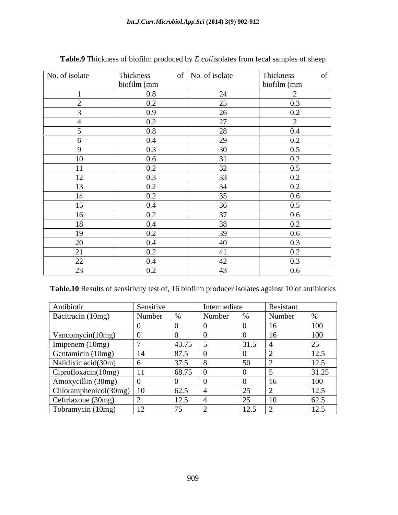*Int.J.Curr.Microbiol.App.Sci* **(2014) 3(9) 902-912**

| No. of isolate       | Thickness        | of   No. of isolate | Thickness<br>-of           |
|----------------------|------------------|---------------------|----------------------------|
|                      | biofilm (mm      |                     | $\frac{1}{2}$ biofilm (mm) |
|                      | $0.8\,$          | 24                  | $\overline{2}$             |
| $\sim$               | 0.2              | 25                  | 0.3                        |
|                      | 0.9 <sub>o</sub> | 26                  | 0.2                        |
|                      | 0.2              | 27                  |                            |
|                      | $0.8\,$          | 28                  | 0.4                        |
|                      | $0.4\,$          | 29                  | 0.2                        |
| $\Omega$             | 0.3              | 30                  | 0.5                        |
| 10                   | $0.6\,$          | 31                  | 0.2                        |
| 11                   | 0.2              | 32                  | 0.5                        |
| 12 <sub>1</sub><br>L | 0.3              | 33                  | 0.2                        |
| 13                   | 0.2              | 34                  | 0.2                        |
| 14                   | 0.2              | 35                  | 0.6                        |
| 15                   | 0.4              | 36                  | 0.5                        |
| 16                   | 0.2              | 37                  | 0.6                        |
| 18                   | $0.4\,$          | 38                  | 0.2                        |
| 19                   | 0.2              | 39                  | $0.6\,$                    |
| 20                   | $0.4\,$          | 40                  | 0.3                        |
| 21                   | 0.2              | 41                  | 0.2                        |
| 22                   | $0.4\,$          | 42                  | 0.3                        |
| 22                   | $0.2\,$          | 43                  | $0.6\,$                    |

**Table.9** Thickness of biofilm produced by *E.coli*isolates from fecal samples of sheep

**Table.10** Results of sensitivity test of, 16 biofilm producer isolates against 10 of antibiotics

| Antibiotic               | Sensitive            |                                    | Intermediate |               | <b>Resistant</b> |                          |
|--------------------------|----------------------|------------------------------------|--------------|---------------|------------------|--------------------------|
| Bacitracin (10mg)        | Number $\frac{1}{2}$ |                                    | Number       |               | Number           |                          |
|                          |                      |                                    |              |               |                  |                          |
| Vancomycin(10mg)         |                      |                                    |              |               |                  |                          |
| Imipenem (10mg)          |                      | 43.75                              |              | 131.5         |                  |                          |
| Gentamicin (10mg)        |                      | 87.5                               |              |               |                  | $1 \cap \zeta$<br>14.J   |
| Nalidixic acid(30m)      |                      | 37.5                               |              | 50            |                  | 125<br>14.J              |
| Ciprofloxacin(10mg)      |                      | 68.75                              |              |               |                  | 31.25                    |
| Amoxycillin (30mg)       |                      |                                    |              |               | $\overline{ }$   | 100<br><b>TUU</b>        |
| Chloramphenicol(30mg) 10 |                      | 62.5                               |              | $\sim$ $\sim$ |                  | $1 \cap \zeta$<br>14.J   |
| Ceftriaxone (30mg)       |                      | 12.5                               |              | $\sim$ $\sim$ | <sup>10</sup>    | 62.5                     |
| Tobramycin (10mg)        |                      | $\overline{a}$<br>$\overline{1}$ . |              | 10F           |                  | 125<br>$1 \angle . \cup$ |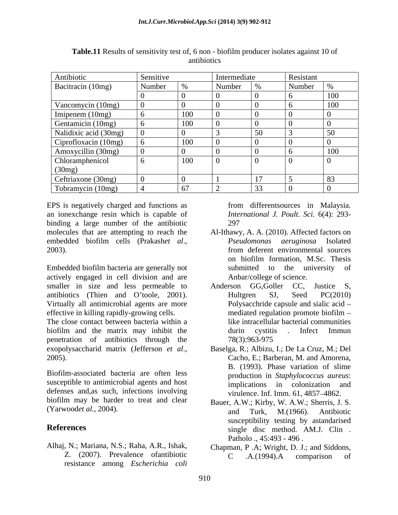| Antibiotic                                                                                                                                          | Sensitive |             | Intermediate |     | Resistant  |           |
|-----------------------------------------------------------------------------------------------------------------------------------------------------|-----------|-------------|--------------|-----|------------|-----------|
| Bacitracin (10mg)                                                                                                                                   | Number    | $\%$        | Number %     |     | Number   % |           |
|                                                                                                                                                     |           |             |              |     |            | 100       |
|                                                                                                                                                     |           |             |              |     |            | 100       |
| Vancomycin (10mg)<br>Imipenem (10mg)<br>Gentamicin (10mg)<br>Nalidixic acid (30mg)<br>Ciprofloxacin (10mg)<br>Amoxycillin (30mg)<br>Chloramphenicol |           | 100         |              |     |            |           |
|                                                                                                                                                     |           | 100         |              |     |            |           |
|                                                                                                                                                     |           |             |              | -50 |            |           |
|                                                                                                                                                     |           | 100         |              |     |            |           |
|                                                                                                                                                     |           |             |              |     |            | 100       |
|                                                                                                                                                     |           | $\vert$ 100 |              |     |            |           |
| (30mg)                                                                                                                                              |           |             |              |     |            |           |
| Ceftriaxone (30mg)                                                                                                                                  |           |             |              |     |            | $\lambda$ |
| Tobramycin (10mg)                                                                                                                                   |           | 67          |              |     |            |           |

**Table.11** Results of sensitivity test of, 6 non - biofilm producer isolates against 10 of antibiotics

EPS is negatively charged and functions as an ionexchange resin which is capable of binding a large number of the antibiotic

Embedded biofilm bacteria are generally not actively engaged in cell division and are smaller in size and less permeable to Anderson GG, Goller CC, Justice S, antibiotics (Thien and O'toole, 2001). Hultgren SJ, Seed PC(2010) Virtually all antimicrobial agents are more effective in killing rapidly-growing cells. mediated regulation promote biofilm –

The close contact between bacteria within a biofilm and the matrix may inhibit the durin cystitis . Infect Immun penetration of antibiotics through the

Biofilm-associated bacteria are often less susceptible to antimicrobial agents and host implications in colonization and defenses and,as such, infections involving biofilm may be harder to treat and clear

Alhaj, N.; Mariana, N.S.; Raha, A.R., Ishak, resistance among *Escherichia coli* from differentsources in Malaysia. *International J. Poult. Sci.* 6(4): 293- 297

- molecules that are attempting to reach the Al-Ithawy, A. A. (2010). Affected factors on embedded biofilm cells (Prakash*et al*., 2003). *Pseudomonas aeruginosa* Isolated from deferent environmental sources on biofilm formation, M.Sc. Thesis submitted to the university Anbar/college of science.
	- Anderson GG,Goller CC, Hultgren SJ, Seed PC(2010) Polysacchride capsule and sialic acid mediated regulation promote biofilm like intracellular bacterial communities durin cystitis . Infect Immun 78(3):963-975
- exopolysaccharid matrix (Jefferson *et al.*, Baselga, R.; Albizu, I.; De La Cruz, M.; Del<br>2005). Cacho, E.; Barberan, M. and Amorena, Baselga, R.; Albizu, I.; De La Cruz, M.; Del Cacho, E.; Barberan, M. and Amorena, B. (1993). Phase variation of slime production in *Staphylococcus aureus*: implications in colonization virulence. Inf. Imm. 61, 4857-4862.
- (Yarwood*et al.*, 2004). and Turk, M.(1966). Antibiotic **References** single disc method. AM.J. Clin . Bauer, A.W.; Kirby, W. A.W.; Sherris, J. S. and Turk, M.(1966). Antibiotic susceptibility testing by astandarised Patholo ., 45:493 - 496 .
	- Z.  $(2007)$ . Prevalence ofantibiotic  $C$  . A.  $(1994)$ . A comparison of Chapman, P .A; Wright, D. J.; and Siddons, C .A.(1994).A comparison of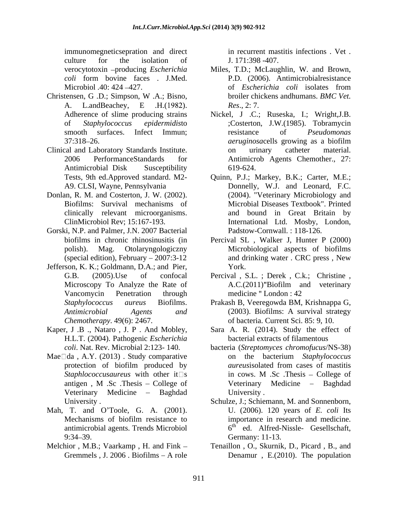immunomegneticsepration and direct culture for the isolation of  $J. 171:398-407$ .

- A. L.andBeachey, E .H.(1982). Res., 2: 7.<br>Adherence of slime producing strains Nickel, J .C.; Ruseska, I.; Wright, J.B.
- 
- Donlan, R. M. and Costerton, J. W. (2002).
- Gorski, N.P. and Palmer, J.N. 2007 Bacterial
- Jefferson, K. K.; Goldmann, D.A.; and Pier,
- Kaper, J .B ., Nataro , J. P . And Mobley, H.L.T. (2004). Pathogenic *Escherichia*
- Mae $\square$ da , A.Y. (2013). Study comparative on the bacterium Staphylococcus Veterinary Medicine - Baghdad University.
- antimicrobial agents. Trends Microbiol
- 

in recurrent mastitis infections . Vet . J. 171:398 -407.

- verocytotoxin producing *Escherichia*  Miles, T.D.; McLaughlin, W. and Brown, *coli* form bovine faces . J.Med. P.D. (2006). Antimicrobialresistance Microbiol .40: 424 – 427. The of Escherichia coli isolates from Christensen, G.D.; Simpson, W.A.; Bisno, broiler chickens andhumans. BMC Vet. of *Escherichia coli* isolates from broiler chickens andhumans. *BMC Vet. Res*., 2: 7.
- of *Staphylococcus epidermidis*to ;Costerton, J.W.(1985). Tobramycin smooth surfaces. Infect Immun; esistance of *Pseudomonas* 37:318–26. *aeruginosacells growing as a biofilm* Clinical and Laboratory Standards Institute. 2006 PerformanceStandards for Antimicrob Agents Chemother., 27: Antimicrobial Disk Susceptibility 619-624. Nickel, J .C.; Ruseska, I.; Wright,J.B. resistance of *Pseudomonas aeruginosa*cells growing as a biofilm on urinary catheter material. 619-624.
	- Tests, 9th ed.Approved standard. M2- Quinn, P.J.; Markey, B.K.; Carter, M.E.; A9. CLSI, Wayne, Pennsylvania Donnelly, W.J. and Leonard, F.C. Biofilms: Survival mechanisms of Microbial Diseases Textbook". Printed clinically relevant microorganisms. and bound in Great Britain by ClinMicrobiol Rev; 15:167-193. International Ltd. Mosby, London, (2004). "Veterinary Microbiology and Padstow-Cornwall. : 118-126.
	- biofilms in chronic rhinosinusitis (in Percival SL , Walker J, Hunter P (2000) polish). Mag. Otolaryngologiczny Microbiological aspects of biofilms (special edition), February  $-2007:3-12$  and drinking water. CRC press, New and drinking water . CRC press , New York.
	- G.B. (2005).Use of confocal Percival , S.L. ; Derek , C.k.; Christine , Microscopy To Analyze the Rate of A.C.(2011)"Biofilm and veterinary Vancomycin Penetration through medicine "London: 42 A.C.(2011) Biofilm and veterinary medicine "London : 42
	- *Staphylococcus aureus* Biofilms. Prakash B, Veeregowda BM, Krishnappa G, *Antimicrobial Agents and* (2003). Biofilms: A survival strategy *Chemotherapy*. 49(6): 2467. of bacteria. Current Sci. 85: 9, 10.
		- Sara A. R. (2014). Study the effect of bacterial extracts of filamentous
	- *coli*. Nat. Rev. Microbial 2:123- 140. bacteria (*Streptomyces chromofucus*/NS-38) protection of biofilm produced by *aureus* isolated from cases of mastitis *Staphlococcusaureus* with other it  $\Box$ s in cows. M . Sc . Thesis – College of antigen, M. Sc. Thesis – College of Veterinary Medicine – Baghdad on the bacterium *Staphylococcus aureus*isolated from cases of mastitis in cows. M .Sc .Thesis – College of Veterinary Medicine - Baghdad University .
- University . Schulze, J.; Schiemann, M. and Sonnenborn, Mah, T. and O'Toole, G. A. (2001). U. (2006). 120 years of E. coli Its<br>Mechanisms of biofilm resistance to importance in research and medicine. 9:34–39. **Germany**: 11-13. U. (2006). 120 years of *E. coli* Its importance in research and medicine.  $6<sup>th</sup>$  ed. Alfred-Nissle- Gesellschaft, Germany: 11-13.
- Melchior, M.B.; Vaarkamp, H. and Fink Tenaillon, O., Skurnik, D., Picard, B., and Gremmels , J. 2006 . Biofilms – A role **Denamur**, E. (2010). The population Denamur , E.(2010). The population